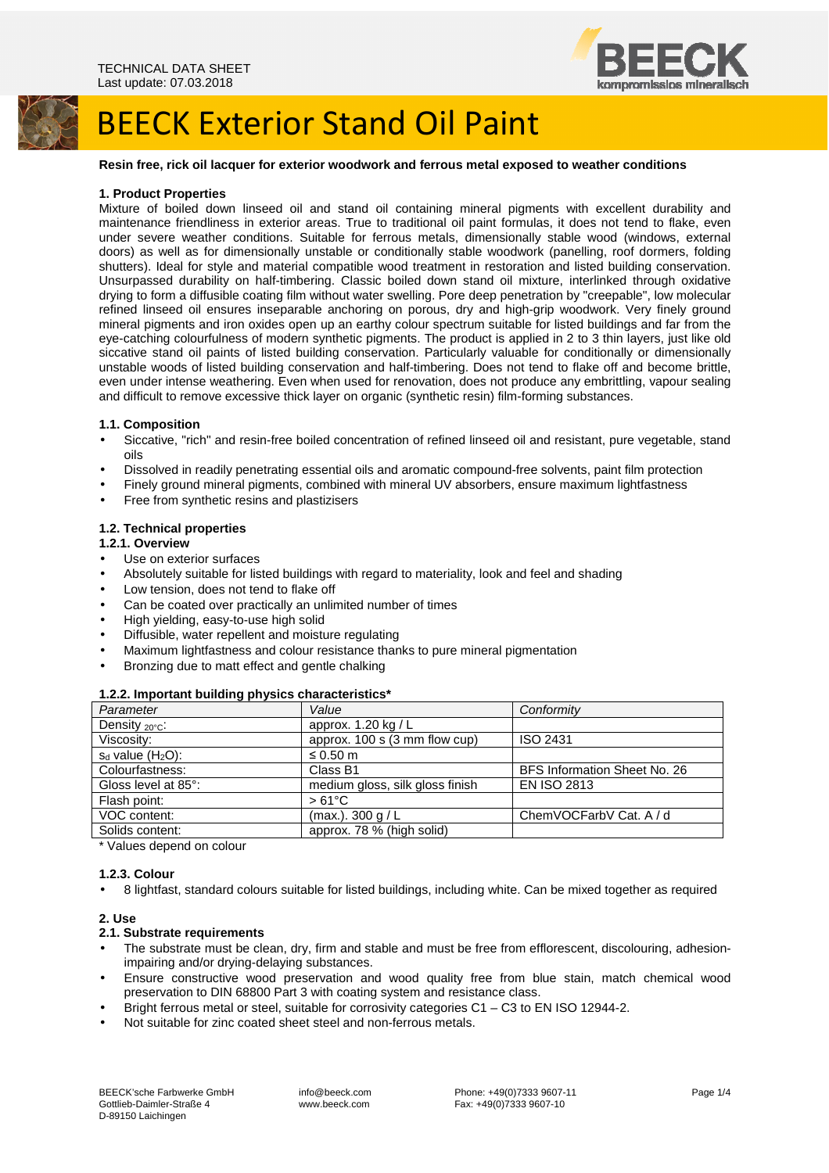

#### **Resin free, rick oil lacquer for exterior woodwork and ferrous metal exposed to weather conditions**

#### **1. Product Properties**

Mixture of boiled down linseed oil and stand oil containing mineral pigments with excellent durability and maintenance friendliness in exterior areas. True to traditional oil paint formulas, it does not tend to flake, even under severe weather conditions. Suitable for ferrous metals, dimensionally stable wood (windows, external doors) as well as for dimensionally unstable or conditionally stable woodwork (panelling, roof dormers, folding shutters). Ideal for style and material compatible wood treatment in restoration and listed building conservation. Unsurpassed durability on half-timbering. Classic boiled down stand oil mixture, interlinked through oxidative drying to form a diffusible coating film without water swelling. Pore deep penetration by "creepable", low molecular refined linseed oil ensures inseparable anchoring on porous, dry and high-grip woodwork. Very finely ground mineral pigments and iron oxides open up an earthy colour spectrum suitable for listed buildings and far from the eye-catching colourfulness of modern synthetic pigments. The product is applied in 2 to 3 thin layers, just like old siccative stand oil paints of listed building conservation. Particularly valuable for conditionally or dimensionally unstable woods of listed building conservation and half-timbering. Does not tend to flake off and become brittle, even under intense weathering. Even when used for renovation, does not produce any embrittling, vapour sealing and difficult to remove excessive thick layer on organic (synthetic resin) film-forming substances.

#### **1.1. Composition**

- Siccative, "rich" and resin-free boiled concentration of refined linseed oil and resistant, pure vegetable, stand oils
- Dissolved in readily penetrating essential oils and aromatic compound-free solvents, paint film protection
- Finely ground mineral pigments, combined with mineral UV absorbers, ensure maximum lightfastness
- Free from synthetic resins and plastizisers

#### **1.2. Technical properties**

#### **1.2.1. Overview**

- Use on exterior surfaces
- Absolutely suitable for listed buildings with regard to materiality, look and feel and shading
- Low tension, does not tend to flake off
- Can be coated over practically an unlimited number of times
- High yielding, easy-to-use high solid
- Diffusible, water repellent and moisture regulating
- Maximum lightfastness and colour resistance thanks to pure mineral pigmentation
- Bronzing due to matt effect and gentle chalking

#### **1.2.2. Important building physics characteristics\***

| Parameter                  | Value                           | Conformity                   |
|----------------------------|---------------------------------|------------------------------|
| Density $_{20^{\circ}C}$ : | approx. 1.20 kg / L             |                              |
| Viscosity:                 | approx. 100 s (3 mm flow cup)   | ISO 2431                     |
| $s_d$ value $(H_2O)$ :     | ≤ 0.50 $m$                      |                              |
| Colourfastness:            | Class B1                        | BFS Information Sheet No. 26 |
| Gloss level at 85°:        | medium gloss, silk gloss finish | <b>EN ISO 2813</b>           |
| Flash point:               | $>61^{\circ}$ C                 |                              |
| VOC content:               | $(max.)$ . 300 g / L            | ChemVOCFarbV Cat. A / d      |
| Solids content:            | approx. 78 % (high solid)       |                              |
|                            |                                 |                              |

\* Values depend on colour

## **1.2.3. Colour**

• 8 lightfast, standard colours suitable for listed buildings, including white. Can be mixed together as required

#### **2. Use**

#### **2.1. Substrate requirements**

- The substrate must be clean, dry, firm and stable and must be free from efflorescent, discolouring, adhesionimpairing and/or drying-delaying substances.
- Ensure constructive wood preservation and wood quality free from blue stain, match chemical wood preservation to DIN 68800 Part 3 with coating system and resistance class.
- Bright ferrous metal or steel, suitable for corrosivity categories C1 C3 to EN ISO 12944-2.
- Not suitable for zinc coated sheet steel and non-ferrous metals.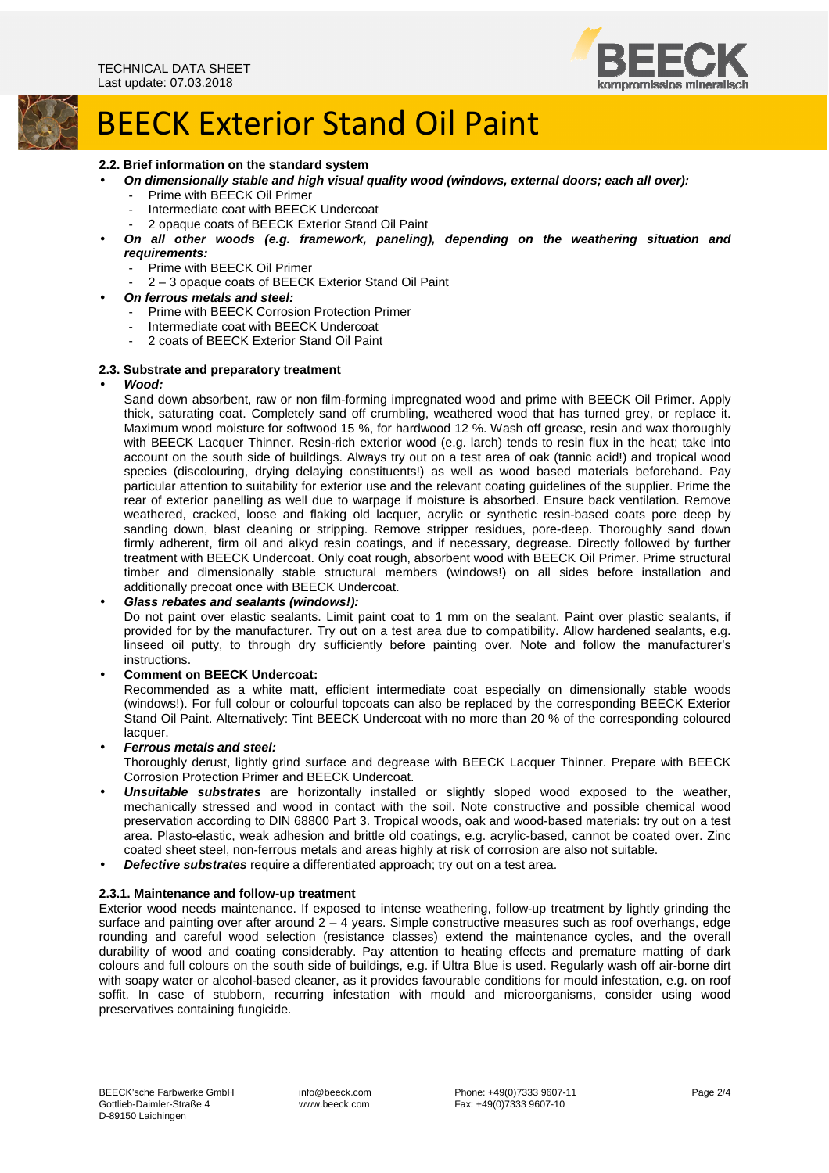

### **2.2. Brief information on the standard system**

- **On dimensionally stable and high visual quality wood (windows, external doors; each all over):** 
	- Prime with BEECK Oil Primer
	- Intermediate coat with BEECK Undercoat
	- 2 opaque coats of BEECK Exterior Stand Oil Paint
	- **On all other woods (e.g. framework, paneling), depending on the weathering situation and requirements:** 
		- Prime with BEECK Oil Primer
		- 2 3 opaque coats of BEECK Exterior Stand Oil Paint
- **On ferrous metals and steel:** 
	- Prime with BEECK Corrosion Protection Primer
	- Intermediate coat with BEECK Undercoat
	- 2 coats of BEECK Exterior Stand Oil Paint

#### **2.3. Substrate and preparatory treatment**

#### • **Wood:**

Sand down absorbent, raw or non film-forming impregnated wood and prime with BEECK Oil Primer. Apply thick, saturating coat. Completely sand off crumbling, weathered wood that has turned grey, or replace it. Maximum wood moisture for softwood 15 %, for hardwood 12 %. Wash off grease, resin and wax thoroughly with BEECK Lacquer Thinner. Resin-rich exterior wood (e.g. larch) tends to resin flux in the heat; take into account on the south side of buildings. Always try out on a test area of oak (tannic acid!) and tropical wood species (discolouring, drying delaying constituents!) as well as wood based materials beforehand. Pay particular attention to suitability for exterior use and the relevant coating guidelines of the supplier. Prime the rear of exterior panelling as well due to warpage if moisture is absorbed. Ensure back ventilation. Remove weathered, cracked, loose and flaking old lacquer, acrylic or synthetic resin-based coats pore deep by sanding down, blast cleaning or stripping. Remove stripper residues, pore-deep. Thoroughly sand down firmly adherent, firm oil and alkyd resin coatings, and if necessary, degrease. Directly followed by further treatment with BEECK Undercoat. Only coat rough, absorbent wood with BEECK Oil Primer. Prime structural timber and dimensionally stable structural members (windows!) on all sides before installation and additionally precoat once with BEECK Undercoat.

#### • **Glass rebates and sealants (windows!):**

Do not paint over elastic sealants. Limit paint coat to 1 mm on the sealant. Paint over plastic sealants, if provided for by the manufacturer. Try out on a test area due to compatibility. Allow hardened sealants, e.g. linseed oil putty, to through dry sufficiently before painting over. Note and follow the manufacturer's instructions.

#### • **Comment on BEECK Undercoat:**

Recommended as a white matt, efficient intermediate coat especially on dimensionally stable woods (windows!). For full colour or colourful topcoats can also be replaced by the corresponding BEECK Exterior Stand Oil Paint. Alternatively: Tint BEECK Undercoat with no more than 20 % of the corresponding coloured lacquer.

• **Ferrous metals and steel:** 

Thoroughly derust, lightly grind surface and degrease with BEECK Lacquer Thinner. Prepare with BEECK Corrosion Protection Primer and BEECK Undercoat.

- **Unsuitable substrates** are horizontally installed or slightly sloped wood exposed to the weather, mechanically stressed and wood in contact with the soil. Note constructive and possible chemical wood preservation according to DIN 68800 Part 3. Tropical woods, oak and wood-based materials: try out on a test area. Plasto-elastic, weak adhesion and brittle old coatings, e.g. acrylic-based, cannot be coated over. Zinc coated sheet steel, non-ferrous metals and areas highly at risk of corrosion are also not suitable.
- **Defective substrates** require a differentiated approach; try out on a test area.

#### **2.3.1. Maintenance and follow-up treatment**

Exterior wood needs maintenance. If exposed to intense weathering, follow-up treatment by lightly grinding the surface and painting over after around  $2 - 4$  years. Simple constructive measures such as roof overhangs, edge rounding and careful wood selection (resistance classes) extend the maintenance cycles, and the overall durability of wood and coating considerably. Pay attention to heating effects and premature matting of dark colours and full colours on the south side of buildings, e.g. if Ultra Blue is used. Regularly wash off air-borne dirt with soapy water or alcohol-based cleaner, as it provides favourable conditions for mould infestation, e.g. on roof soffit. In case of stubborn, recurring infestation with mould and microorganisms, consider using wood preservatives containing fungicide.

 info@beeck.com www.beeck.com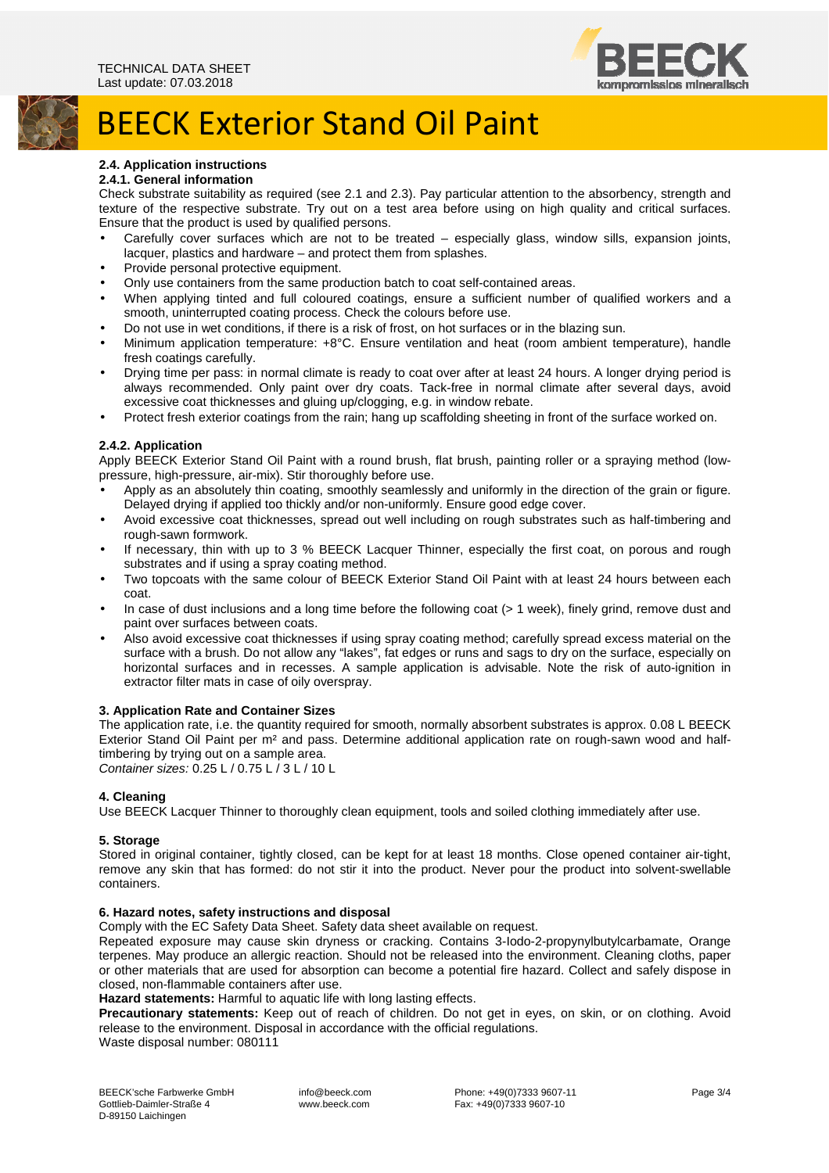

## **2.4. Application instructions**

## **2.4.1. General information**

Check substrate suitability as required (see 2.1 and 2.3). Pay particular attention to the absorbency, strength and texture of the respective substrate. Try out on a test area before using on high quality and critical surfaces. Ensure that the product is used by qualified persons.

- Carefully cover surfaces which are not to be treated especially glass, window sills, expansion joints, lacquer, plastics and hardware – and protect them from splashes.
- Provide personal protective equipment.
- Only use containers from the same production batch to coat self-contained areas.
- When applying tinted and full coloured coatings, ensure a sufficient number of qualified workers and a smooth, uninterrupted coating process. Check the colours before use.
- Do not use in wet conditions, if there is a risk of frost, on hot surfaces or in the blazing sun.
- Minimum application temperature: +8°C. Ensure ventilation and heat (room ambient temperature), handle fresh coatings carefully.
- Drying time per pass: in normal climate is ready to coat over after at least 24 hours. A longer drying period is always recommended. Only paint over dry coats. Tack-free in normal climate after several days, avoid excessive coat thicknesses and gluing up/clogging, e.g. in window rebate.
- Protect fresh exterior coatings from the rain; hang up scaffolding sheeting in front of the surface worked on.

## **2.4.2. Application**

Apply BEECK Exterior Stand Oil Paint with a round brush, flat brush, painting roller or a spraying method (lowpressure, high-pressure, air-mix). Stir thoroughly before use.

- Apply as an absolutely thin coating, smoothly seamlessly and uniformly in the direction of the grain or figure. Delayed drying if applied too thickly and/or non-uniformly. Ensure good edge cover.
- Avoid excessive coat thicknesses, spread out well including on rough substrates such as half-timbering and rough-sawn formwork.
- If necessary, thin with up to 3 % BEECK Lacquer Thinner, especially the first coat, on porous and rough substrates and if using a spray coating method.
- Two topcoats with the same colour of BEECK Exterior Stand Oil Paint with at least 24 hours between each coat.
- In case of dust inclusions and a long time before the following coat (> 1 week), finely grind, remove dust and paint over surfaces between coats.
- Also avoid excessive coat thicknesses if using spray coating method; carefully spread excess material on the surface with a brush. Do not allow any "lakes", fat edges or runs and sags to dry on the surface, especially on horizontal surfaces and in recesses. A sample application is advisable. Note the risk of auto-ignition in extractor filter mats in case of oily overspray.

## **3. Application Rate and Container Sizes**

The application rate, i.e. the quantity required for smooth, normally absorbent substrates is approx. 0.08 L BEECK Exterior Stand Oil Paint per m² and pass. Determine additional application rate on rough-sawn wood and halftimbering by trying out on a sample area. Container sizes: 0.25 L / 0.75 L / 3 L / 10 L

**4. Cleaning** 

Use BEECK Lacquer Thinner to thoroughly clean equipment, tools and soiled clothing immediately after use.

#### **5. Storage**

Stored in original container, tightly closed, can be kept for at least 18 months. Close opened container air-tight, remove any skin that has formed: do not stir it into the product. Never pour the product into solvent-swellable containers.

## **6. Hazard notes, safety instructions and disposal**

Comply with the EC Safety Data Sheet. Safety data sheet available on request.

Repeated exposure may cause skin dryness or cracking. Contains 3-Iodo-2-propynylbutylcarbamate, Orange terpenes. May produce an allergic reaction. Should not be released into the environment. Cleaning cloths, paper or other materials that are used for absorption can become a potential fire hazard. Collect and safely dispose in closed, non-flammable containers after use.

**Hazard statements:** Harmful to aquatic life with long lasting effects.

**Precautionary statements:** Keep out of reach of children. Do not get in eyes, on skin, or on clothing. Avoid release to the environment. Disposal in accordance with the official regulations. Waste disposal number: 080111

 info@beeck.com www.beeck.com